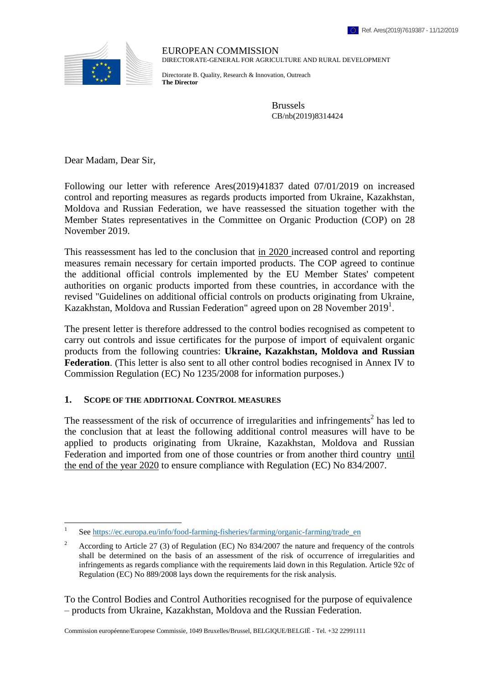

EUROPEAN COMMISSION DIRECTORATE-GENERAL FOR AGRICULTURE AND RURAL DEVELOPMENT

Directorate B. Quality, Research & Innovation, Outreach **The Director**

> Brussels CB/nb(2019)8314424

Dear Madam, Dear Sir,

Following our letter with reference Ares(2019)41837 dated 07/01/2019 on increased control and reporting measures as regards products imported from Ukraine, Kazakhstan, Moldova and Russian Federation, we have reassessed the situation together with the Member States representatives in the Committee on Organic Production (COP) on 28 November 2019.

This reassessment has led to the conclusion that in 2020 increased control and reporting measures remain necessary for certain imported products. The COP agreed to continue the additional official controls implemented by the EU Member States' competent authorities on organic products imported from these countries, in accordance with the revised "Guidelines on additional official controls on products originating from Ukraine, Kazakhstan, Moldova and Russian Federation" agreed upon on 28 November 2019<sup>1</sup>.

The present letter is therefore addressed to the control bodies recognised as competent to carry out controls and issue certificates for the purpose of import of equivalent organic products from the following countries: **Ukraine, Kazakhstan, Moldova and Russian Federation**. (This letter is also sent to all other control bodies recognised in Annex IV to Commission Regulation (EC) No 1235/2008 for information purposes.)

#### **1. SCOPE OF THE ADDITIONAL CONTROL MEASURES**

The reassessment of the risk of occurrence of irregularities and infringements<sup>2</sup> has led to the conclusion that at least the following additional control measures will have to be applied to products originating from Ukraine, Kazakhstan, Moldova and Russian Federation and imported from one of those countries or from another third country until the end of the year 2020 to ensure compliance with Regulation (EC) No 834/2007.

To the Control Bodies and Control Authorities recognised for the purpose of equivalence – products from Ukraine, Kazakhstan, Moldova and the Russian Federation.

Commission européenne/Europese Commissie, 1049 Bruxelles/Brussel, BELGIQUE/BELGIË - Tel. +32 22991111

 $\frac{1}{1}$ See [https://ec.europa.eu/info/food-farming-fisheries/farming/organic-farming/trade\\_en](https://ec.europa.eu/info/food-farming-fisheries/farming/organic-farming/trade_en)

<sup>&</sup>lt;sup>2</sup> According to Article 27 (3) of Regulation (EC) No 834/2007 the nature and frequency of the controls shall be determined on the basis of an assessment of the risk of occurrence of irregularities and infringements as regards compliance with the requirements laid down in this Regulation. Article 92c of Regulation (EC) No 889/2008 lays down the requirements for the risk analysis.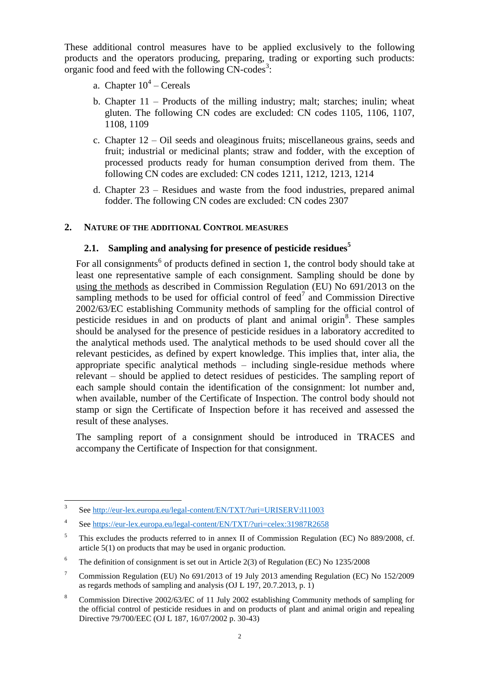These additional control measures have to be applied exclusively to the following products and the operators producing, preparing, trading or exporting such products: organic food and feed with the following  $CN$ -codes<sup>3</sup>:

- a. Chapter  $10^4$  Cereals
- b. Chapter 11 Products of the milling industry; malt; starches; inulin; wheat gluten. The following CN codes are excluded: CN codes 1105, 1106, 1107, 1108, 1109
- c. Chapter 12 Oil seeds and oleaginous fruits; miscellaneous grains, seeds and fruit; industrial or medicinal plants; straw and fodder, with the exception of processed products ready for human consumption derived from them. The following CN codes are excluded: CN codes 1211, 1212, 1213, 1214
- d. Chapter 23 Residues and waste from the food industries, prepared animal fodder. The following CN codes are excluded: CN codes 2307

## **2. NATURE OF THE ADDITIONAL CONTROL MEASURES**

## **2.1. Sampling and analysing for presence of pesticide residues<sup>5</sup>**

For all consignments<sup>6</sup> of products defined in section 1, the control body should take at least one representative sample of each consignment. Sampling should be done by using the methods as described in Commission Regulation (EU) No 691/2013 on the sampling methods to be used for official control of feed<sup>7</sup> and Commission Directive 2002/63/EC establishing Community methods of sampling for the official control of pesticide residues in and on products of plant and animal origin<sup>8</sup>. These samples should be analysed for the presence of pesticide residues in a laboratory accredited to the analytical methods used. The analytical methods to be used should cover all the relevant pesticides, as defined by expert knowledge. This implies that, inter alia, the appropriate specific analytical methods – including single-residue methods where relevant – should be applied to detect residues of pesticides. The sampling report of each sample should contain the identification of the consignment: lot number and, when available, number of the Certificate of Inspection. The control body should not stamp or sign the Certificate of Inspection before it has received and assessed the result of these analyses.

The sampling report of a consignment should be introduced in TRACES and accompany the Certificate of Inspection for that consignment.

 3 See<http://eur-lex.europa.eu/legal-content/EN/TXT/?uri=URISERV:l11003>

<sup>4</sup> See<https://eur-lex.europa.eu/legal-content/EN/TXT/?uri=celex:31987R2658>

<sup>&</sup>lt;sup>5</sup> This excludes the products referred to in annex II of Commission Regulation (EC) No 889/2008, cf. article 5(1) on products that may be used in organic production.

<sup>&</sup>lt;sup>6</sup> The definition of consignment is set out in Article 2(3) of Regulation (EC) No  $1235/2008$ 

<sup>7</sup> Commission Regulation (EU) No 691/2013 of 19 July 2013 amending Regulation (EC) No 152/2009 as regards methods of sampling and analysis (OJ L 197, 20.7.2013, p. 1)

<sup>8</sup> Commission Directive 2002/63/EC of 11 July 2002 establishing Community methods of sampling for the official control of pesticide residues in and on products of plant and animal origin and repealing Directive 79/700/EEC (OJ L 187, 16/07/2002 p. 30-43)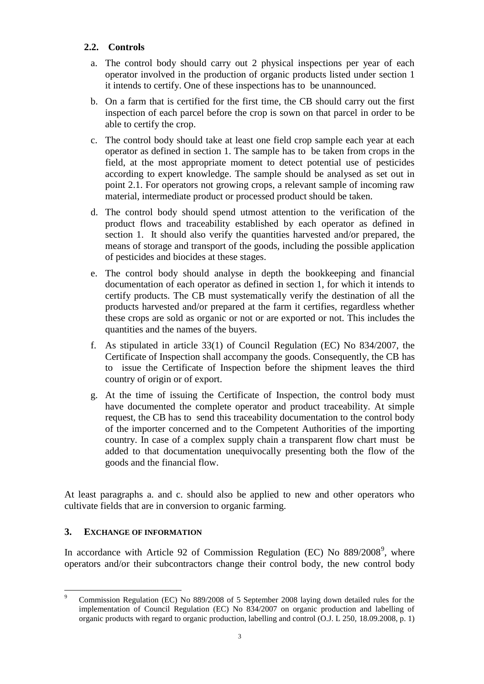# **2.2. Controls**

- a. The control body should carry out 2 physical inspections per year of each operator involved in the production of organic products listed under section 1 it intends to certify. One of these inspections has to be unannounced.
- b. On a farm that is certified for the first time, the CB should carry out the first inspection of each parcel before the crop is sown on that parcel in order to be able to certify the crop.
- c. The control body should take at least one field crop sample each year at each operator as defined in section 1. The sample has to be taken from crops in the field, at the most appropriate moment to detect potential use of pesticides according to expert knowledge. The sample should be analysed as set out in point 2.1. For operators not growing crops, a relevant sample of incoming raw material, intermediate product or processed product should be taken.
- d. The control body should spend utmost attention to the verification of the product flows and traceability established by each operator as defined in section 1. It should also verify the quantities harvested and/or prepared, the means of storage and transport of the goods, including the possible application of pesticides and biocides at these stages.
- e. The control body should analyse in depth the bookkeeping and financial documentation of each operator as defined in section 1, for which it intends to certify products. The CB must systematically verify the destination of all the products harvested and/or prepared at the farm it certifies, regardless whether these crops are sold as organic or not or are exported or not. This includes the quantities and the names of the buyers.
- f. As stipulated in article 33(1) of Council Regulation (EC) No 834/2007, the Certificate of Inspection shall accompany the goods. Consequently, the CB has to issue the Certificate of Inspection before the shipment leaves the third country of origin or of export.
- g. At the time of issuing the Certificate of Inspection, the control body must have documented the complete operator and product traceability. At simple request, the CB has to send this traceability documentation to the control body of the importer concerned and to the Competent Authorities of the importing country. In case of a complex supply chain a transparent flow chart must be added to that documentation unequivocally presenting both the flow of the goods and the financial flow.

At least paragraphs a. and c. should also be applied to new and other operators who cultivate fields that are in conversion to organic farming.

## **3. EXCHANGE OF INFORMATION**

In accordance with Article 92 of Commission Regulation (EC) No  $889/2008^9$ , where operators and/or their subcontractors change their control body, the new control body

 $\overline{a}$ <sup>9</sup> Commission Regulation (EC) No 889/2008 of 5 September 2008 laying down detailed rules for the implementation of Council Regulation (EC) No 834/2007 on organic production and labelling of organic products with regard to organic production, labelling and control (O.J. L 250, 18.09.2008, p. 1)